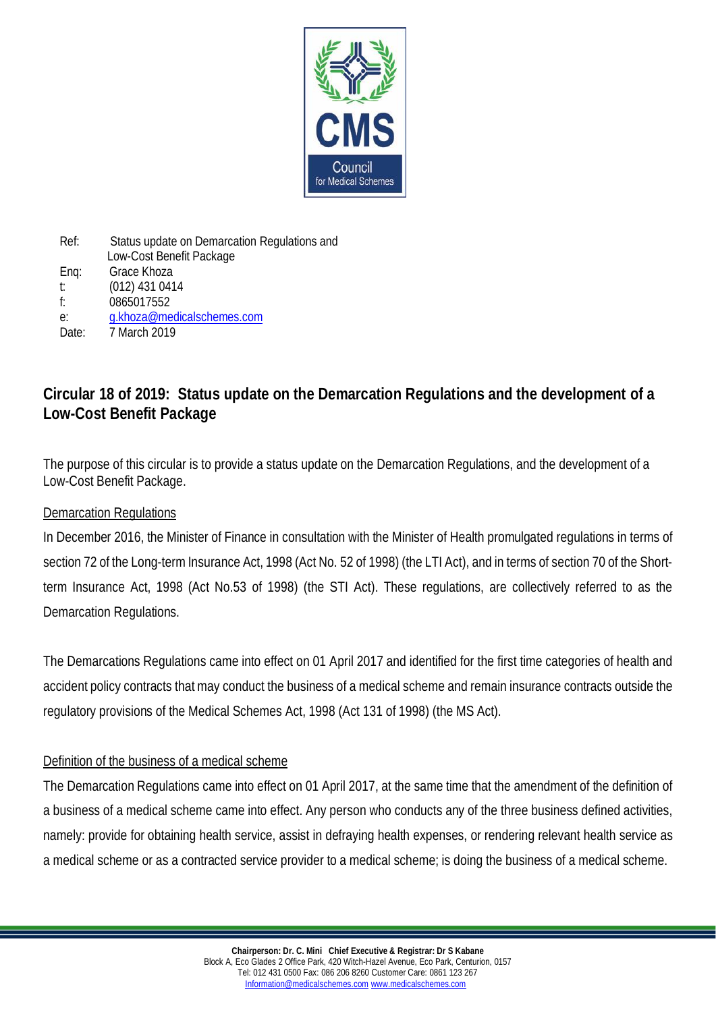

Ref: Status update on Demarcation Regulations and Low-Cost Benefit Package Enq: Grace Khoza t: (012) 431 0414 f: 0865017552 e: [g.khoza@medicalschemes.com](mailto:g.khoza@medicalschemes.com) Date: 7 March 2019

# **Circular 18 of 2019: Status update on the Demarcation Regulations and the development of a Low-Cost Benefit Package**

The purpose of this circular is to provide a status update on the Demarcation Regulations, and the development of a Low-Cost Benefit Package.

### Demarcation Regulations

In December 2016, the Minister of Finance in consultation with the Minister of Health promulgated regulations in terms of section 72 of the Long-term Insurance Act, 1998 (Act No. 52 of 1998) (the LTI Act), and in terms of section 70 of the Shortterm Insurance Act, 1998 (Act No.53 of 1998) (the STI Act). These regulations, are collectively referred to as the Demarcation Regulations.

The Demarcations Regulations came into effect on 01 April 2017 and identified for the first time categories of health and accident policy contracts that may conduct the business of a medical scheme and remain insurance contracts outside the regulatory provisions of the Medical Schemes Act, 1998 (Act 131 of 1998) (the MS Act).

#### Definition of the business of a medical scheme

The Demarcation Regulations came into effect on 01 April 2017, at the same time that the amendment of the definition of a business of a medical scheme came into effect. Any person who conducts any of the three business defined activities, namely: provide for obtaining health service, assist in defraying health expenses, or rendering relevant health service as a medical scheme or as a contracted service provider to a medical scheme; is doing the business of a medical scheme.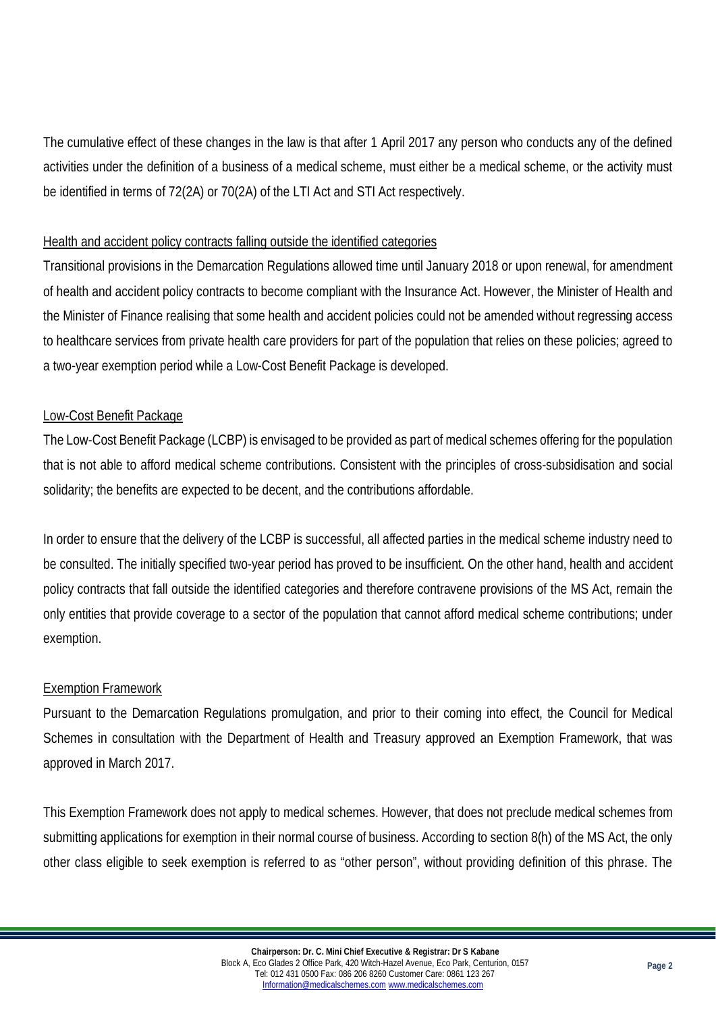The cumulative effect of these changes in the law is that after 1 April 2017 any person who conducts any of the defined activities under the definition of a business of a medical scheme, must either be a medical scheme, or the activity must be identified in terms of 72(2A) or 70(2A) of the LTI Act and STI Act respectively.

## Health and accident policy contracts falling outside the identified categories

Transitional provisions in the Demarcation Regulations allowed time until January 2018 or upon renewal, for amendment of health and accident policy contracts to become compliant with the Insurance Act. However, the Minister of Health and the Minister of Finance realising that some health and accident policies could not be amended without regressing access to healthcare services from private health care providers for part of the population that relies on these policies; agreed to a two-year exemption period while a Low-Cost Benefit Package is developed.

## Low-Cost Benefit Package

The Low-Cost Benefit Package (LCBP) is envisaged to be provided as part of medical schemes offering for the population that is not able to afford medical scheme contributions. Consistent with the principles of cross-subsidisation and social solidarity; the benefits are expected to be decent, and the contributions affordable.

In order to ensure that the delivery of the LCBP is successful, all affected parties in the medical scheme industry need to be consulted. The initially specified two-year period has proved to be insufficient. On the other hand, health and accident policy contracts that fall outside the identified categories and therefore contravene provisions of the MS Act, remain the only entities that provide coverage to a sector of the population that cannot afford medical scheme contributions; under exemption.

#### Exemption Framework

Pursuant to the Demarcation Regulations promulgation, and prior to their coming into effect, the Council for Medical Schemes in consultation with the Department of Health and Treasury approved an Exemption Framework, that was approved in March 2017.

This Exemption Framework does not apply to medical schemes. However, that does not preclude medical schemes from submitting applications for exemption in their normal course of business. According to section 8(h) of the MS Act, the only other class eligible to seek exemption is referred to as "other person", without providing definition of this phrase. The